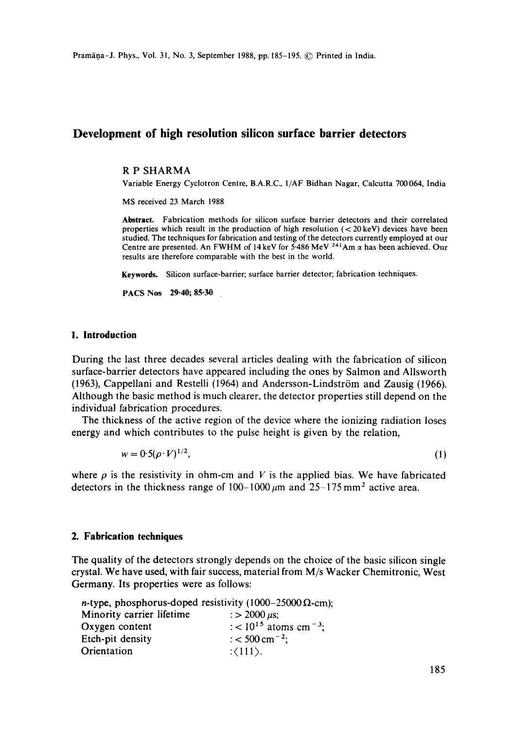# **Development of high resolution silicon surface barrier detectors**

#### **R P** SHARMA

Variable Energy Cyclotron Centre, B.A.R.C., 1/AF Bidhan Nagar, Calcutta 700064, India

MS received 23 March 1988

**Abstract.** Fabrication methods for silicon surface barrier detectors and their correlated properties which result in the production of high resolution  $( $20 \text{ keV}$ )$  devices have been studied. The techniques for fabrication and testing of the detectors currently employed at our Centre are presented. An FWHM of 14 keV for 5-486 MeV <sup>241</sup>Am  $\alpha$  has been achieved. Our results are therefore comparable with the best in the world.

**Keywords.** Silicon surface-barrier; surface barrier detector; fabrication techniques.

PACS Nos 29.40; **85-30** 

#### **1. Introduction**

During the last three decades several articles dealing with the fabrication of silicon surface-barrier detectors have appeared including the ones by Salmon and Allsworth  $(1963)$ , Cappellani and Restelli  $(1964)$  and Andersson-Lindström and Zausig  $(1966)$ . Although the basic method is much clearer, the detector properties still depend on the individual fabrication procedures.

The thickness of the active region of the device where the ionizing radiation loses energy and which contributes to the pulse height is given by the relation,

$$
w = 0.5(\rho \cdot V)^{1/2},\tag{1}
$$

where  $\rho$  is the resistivity in ohm-cm and V is the applied bias. We have fabricated detectors in the thickness range of  $100-1000 \mu m$  and  $25-175 \mu m^2$  active area.

#### **2. Fabrication techniques**

The quality of the detectors strongly depends on the choice of the basic silicon single crystal. We have used, with fair success, material from M/s Wacker Chemitronic, West Germany. Its properties were as follows:

|                           | <i>n</i> -type, phosphorus-doped resistivity (1000–25000 $\Omega$ -cm); |
|---------------------------|-------------------------------------------------------------------------|
| Minority carrier lifetime | : > 2000 $\mu$ s;                                                       |
| Oxygen content            | : < 10 <sup>15</sup> atoms cm <sup>-3</sup> ;                           |
| Etch-pit density          | $\frac{1}{2}$ < 500 cm <sup>-2</sup> :                                  |
| Orientation               | $\langle 111 \rangle$ .                                                 |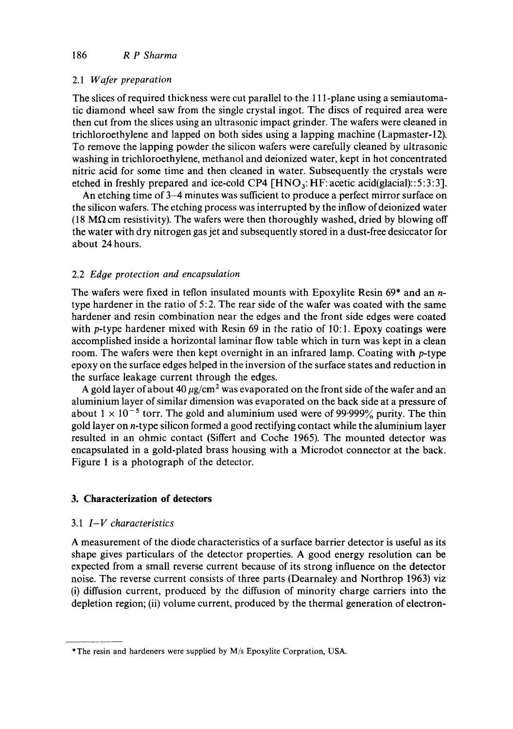### *2.1 Wafer preparation*

The slices of required thickness were cut parallel to the 111-plane using a semiautomatic diamond wheel saw from the single crystal ingot. The discs of required area were then cut from the slices using an ultrasonic impact grinder. The wafers were cleaned in trichlaroethylene and lapped on both sides using a lapping machine (Lapmaster-12). To remove the lapping powder the silicon wafers were carefully cleaned by ultrasonic washing in trichloroethylene, methanol and deionized water, kept in hot concentrated nitric acid for some time and then cleaned in water. Subsequently the crystals were etched in freshly prepared and ice-cold CP4  $\lceil HNO_3:H\lceil E: \text{acetic acid}\text{(glacial)}::5:3:3\rceil$ .

An etching time of 3-4 minutes was sufficient to produce a perfect mirror surface on the silicon wafers. The etching process was interrupted by the inflow of deionized water (18 M $\Omega$  cm resistivity). The wafers were then thoroughly washed, dried by blowing off the water with dry nitrogen gas jet and subsequently stored in a dust-free desiccator for about 24 hours.

## 2.2 *Edge protection and encapsulation*

The wafers were fixed in teflon insulated mounts with Epoxylite Resin  $69*$  and an ntype hardener in the ratio of 5:2. The rear side of the wafer was coated with the same hardener and resin combination near the edges and the front side edges were coated with p-type hardener mixed with Resin  $69$  in the ratio of 10:1. Epoxy coatings were accomplished inside a horizontal laminar flow table which in turn was kept in a clean room. The wafers were then kept overnight in an infrared lamp. Coating with p-type epoxy on the surface edges helped in the inversion of the surface states and reduction in the surface leakage current through the edges.

A gold layer of about 40  $\mu$ g/cm<sup>2</sup> was evaporated on the front side of the wafer and an aluminium layer of similar dimension was evaporated on the back side at a pressure of about  $1 \times 10^{-5}$  torr. The gold and aluminium used were of 99.999% purity. The thin gold layer on n-type silicon formed a good rectifying contact while the aluminium layer resulted in an ohmic contact (Siffert and Coche 1965). The mounted detector was encapsulated in a gold-plated brass housing with a Microdot connector at the back. Figure 1 is a photograph of the detector.

# **3. Characterization of detectors**

### 3.1 *I-V characteristics*

A measurement of the diode characteristics of a surface barrier detector is useful as its shape gives particulars of the detector properties. A good energy resolution can be expected from a small reverse current because of its strong influence on the detector noise. The reverse current consists of three parts (Dearnaley and Northrop 1963) viz (i) diffusion current, produced by the diffusion of minority charge carriers into the depletion region; (ii) volume current, produced by the thermal generation of electron-

<sup>\*</sup> The resin and hardeners were supplied by M/s Epoxylite Corpration, USA.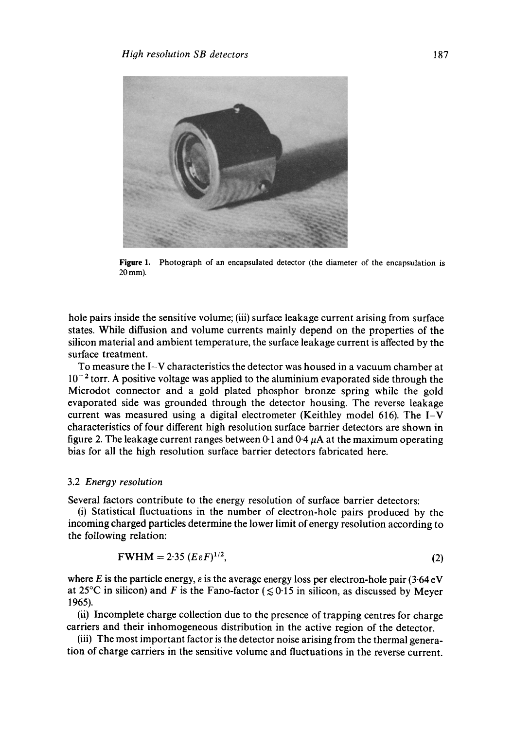

Figure 1. Photograph of an encapsulated detector (the diameter of the encapsulation is  $20$  mm).

hole pairs inside the sensitive volume; (iii) surface leakage current arising from surface states. While diffusion and volume currents mainly depend on the properties of the silicon material and ambient temperature, the surface leakage current is affected by the surface treatment.

To measure the I-V characteristics the detector was housed in a vacuum chamber at  $10^{-2}$  torr. A positive voltage was applied to the aluminium evaporated side through the Microdot connector and a gold plated phosphor bronze spring while the gold evaporated side was grounded through the detector housing. The reverse leakage current was measured using a digital electrometer (Keithley model 616). The I-V characteristics of four different high resolution surface barrier detectors are shown in figure 2. The leakage current ranges between 0.1 and  $0.4 \mu A$  at the maximum operating bias for all the high resolution surface barrier detectors fabricated here.

#### 3.2 *Energy resolution*

Several factors contribute to the energy resolution of surface barrier detectors:

(i) Statistical fluctuations in the number of electron-hole pairs produced by the incoming charged particles determine the lower limit of energy resolution according to the following relation:

$$
FWHM = 2.35 \ (E \varepsilon F)^{1/2},\tag{2}
$$

where E is the particle energy,  $\varepsilon$  is the average energy loss per electron-hole pair (3.64 eV at 25<sup>o</sup>C in silicon) and F is the Fano-factor ( $\leq 0.15$  in silicon, as discussed by Meyer 1965).

(ii) Incomplete charge collection due to the presence of trapping centres for charge carriers and their inhomogeneous distribution in the active region of the detector.

(iii) The most important factor is the detector noise arising from the thermal generation of charge carriers in the sensitive volume and fluctuations in the reverse current.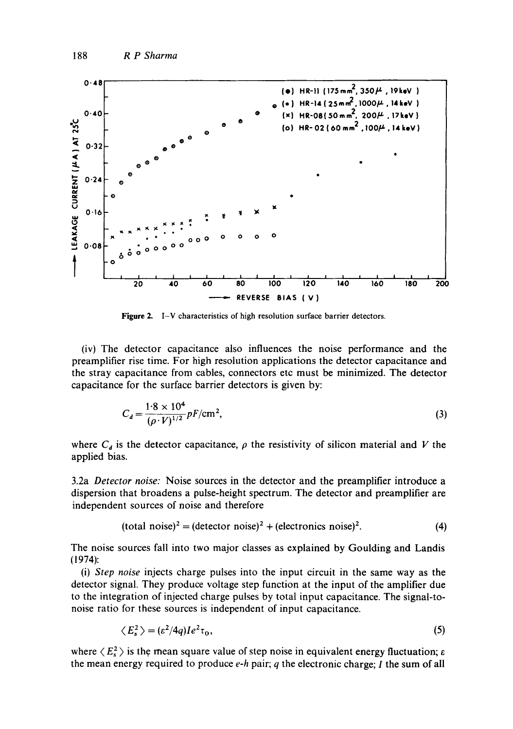

**Figure** 2, I-V characteristics of high resolution surface barrier detectors.

(iv) The detector capacitance also influences the noise performance and the preamplifier rise time. For high resolution applications the detector capacitance and the stray capacitance from cables, connectors etc must be minimized. The detector capacitance for the surface barrier detectors is given by:

$$
C_d = \frac{1.8 \times 10^4}{(\rho \cdot V)^{1/2}} pF/cm^2,
$$
\n(3)

where  $C_d$  is the detector capacitance,  $\rho$  the resistivity of silicon material and V the applied bias.

3.2a *Detector noise:* Noise sources in the detector and the preamplifier introduce a dispersion that broadens a pulse-height spectrum. The detector and preamplifier are independent sources of noise and therefore

$$
(\text{total noise})^2 = (\text{detector noise})^2 + (\text{electronic noise})^2. \tag{4}
$$

The noise sources fall into two major classes as explained by Goulding and Landis (1974):

(i) *Step noise* injects charge pulses into the input circuit in the same way as the detector signal. They produce voltage step function at the input of the amplifier due to the integration of injected charge pulses by total input capacitance. The signal-tonoise ratio for these sources is independent of input capacitance.

$$
\langle E_s^2 \rangle = (\varepsilon^2/4q)I e^2 \tau_0,\tag{5}
$$

where  $\langle E_5^2 \rangle$  is the mean square value of step noise in equivalent energy fluctuation;  $\varepsilon$ the mean energy required to produce *e-h* pair; q the electronic charge; I the sum of all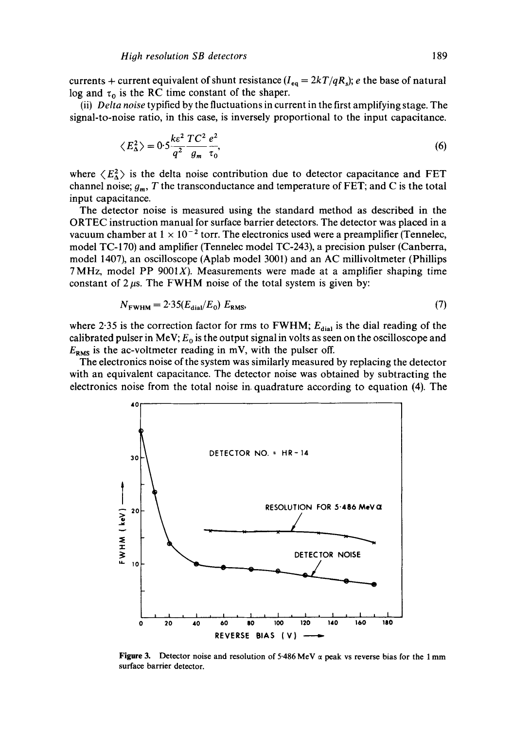currents + current equivalent of shunt resistance  $(I_{eq} = 2kT/qR_s)$ ; *e* the base of natural log and  $\tau_0$  is the RC time constant of the shaper.

(ii) *Delta noise* typified by the fluctuations in current in the first amplifying stage. The signal-to-noise ratio, in this case, is inversely proportional to the input capacitance.

$$
\langle E_{\Delta}^2 \rangle = 0.5 \frac{ke^2}{q^2} \frac{T C^2 e^2}{g_m \tau_0},\tag{6}
$$

where  $\langle E_{\Delta}^2 \rangle$  is the delta noise contribution due to detector capacitance and FET channel noise;  $g_m$ , T the transconductance and temperature of FET; and C is the total input capacitance.

The detector noise is measured using the standard method as described in the ORTEC instruction manual for surface barrier detectors. The detector was placed in a vacuum chamber at  $1 \times 10^{-2}$  torr. The electronics used were a preamplifier (Tennelec, model TC-170) and amplifier (Tennelec model TC-243), a precision pulser (Canberra, model 1407), an oscilloscope (Aplab model 3001) and an AC millivoltmeter (Phillips 7 MHz, model PP  $9001X$ ). Measurements were made at a amplifier shaping time constant of  $2 \mu s$ . The FWHM noise of the total system is given by:

$$
N_{\text{FWHM}} = 2.35(E_{\text{dial}}/E_0) \ E_{\text{RMS}},\tag{7}
$$

where 2.35 is the correction factor for rms to FWHM;  $E_{diab}$  is the dial reading of the calibrated pulser in MeV;  $E_0$  is the output signal in volts as seen on the oscilloscope and  $E_{RMS}$  is the ac-voltmeter reading in mV, with the pulser off.

The electronics noise of the system was similarly measured by replacing the detector with an equivalent capacitance. The detector noise was obtained by subtracting the electronics noise from the total noise in. quadrature according to equation (4). The



**Figure 3.** Detector noise and resolution of 5.486 MeV  $\alpha$  peak vs reverse bias for the 1 mm surface barrier detector.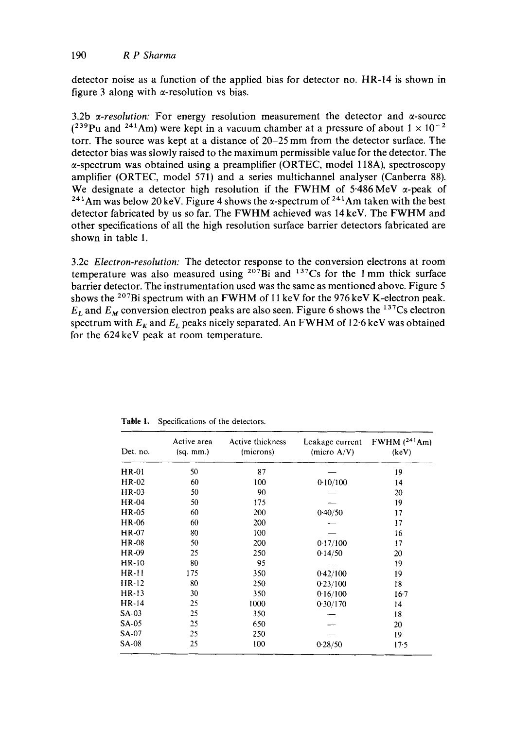detector noise as a function of the applied bias for detector no. HR-14 is shown in figure 3 along with  $\alpha$ -resolution vs bias.

3.2b  $\alpha$ -resolution: For energy resolution measurement the detector and  $\alpha$ -source  $(239$ Pu and  $241$ Am) were kept in a vacuum chamber at a pressure of about  $1 \times 10^{-2}$ torr. The source was kept at a distance of 20-25 mm from the detector surface. The detector bias was slowly raised to the maximum permissible value for the detector. The  $\alpha$ -spectrum was obtained using a preamplifier (ORTEC, model 118A), spectroscopy amplifier (ORTEC, model 571) and a series multichannel analyser (Canberra 88). We designate a detector high resolution if the FWHM of 5.486 MeV  $\alpha$ -peak of <sup>241</sup>Am was below 20 keV. Figure 4 shows the  $\alpha$ -spectrum of <sup>241</sup>Am taken with the best detector fabricated by us so far. The FWHM achieved was 14 keV. The FWHM and other specifications of all the high resolution surface barrier detectors fabricated are shown in table 1.

3.2c *Electron-resolution:* The detector response to the conversion electrons at room temperature was also measured using  $207Bi$  and  $137Cs$  for the 1 mm thick surface barrier detector. The instrumentation used was the same as mentioned above. Figure 5 shows the <sup>207</sup>Bi spectrum with an FWHM of 11 keV for the 976 keV K-electron peak.  $E_L$  and  $E_M$  conversion electron peaks are also seen. Figure 6 shows the <sup>137</sup>Cs electron spectrum with  $E_k$  and  $E_l$  peaks nicely separated. An FWHM of 12.6 keV was obtained for the 624 keV peak at room temperature.

| Det. no.     | Active area<br>$(sq.$ mm.) | Active thickness<br>(microns) | Leakage current<br>(micro $A/V$ ) | FWHM $(^{241}Am)$<br>(keV) |
|--------------|----------------------------|-------------------------------|-----------------------------------|----------------------------|
| <b>HR-01</b> | 50                         | 87                            |                                   | 19                         |
| HR-02        | 60                         | 100                           | 0.10/100                          | 14                         |
| HR-03        | 50                         | 90                            |                                   | 20                         |
| HR-04        | 50                         | 175                           |                                   | 19                         |
| <b>HR-05</b> | 60                         | 200                           | 0.40/50                           | 17                         |
| HR-06        | 60                         | 200                           |                                   | 17                         |
| HR-07        | 80                         | 100                           |                                   | 16                         |
| HR-08        | 50                         | 200                           | 0.17/100                          | 17                         |
| HR-09        | 25                         | 250                           | 0.14/50                           | 20                         |
| HR-10        | 80                         | 95                            |                                   | 19                         |
| $HR-11$      | 175                        | 350                           | 0.42/100                          | 19                         |
| HR-12        | 80                         | 250                           | 0.23/100                          | 18                         |
| $HR-13$      | 30                         | 350                           | 0.16/100                          | $16-7$                     |
| $HR-14$      | 25                         | 1000                          | 0.30/170                          | 14                         |
| $SA-03$      | 25                         | 350                           |                                   | 18                         |
| SA-05        | 25                         | 650                           |                                   | 20                         |
| SA-07        | 25                         | 250                           |                                   | 19                         |
| <b>SA-08</b> | 25                         | 100                           | 0.28/50                           | 17.5                       |

**Table** 1. Specifications of the detectors.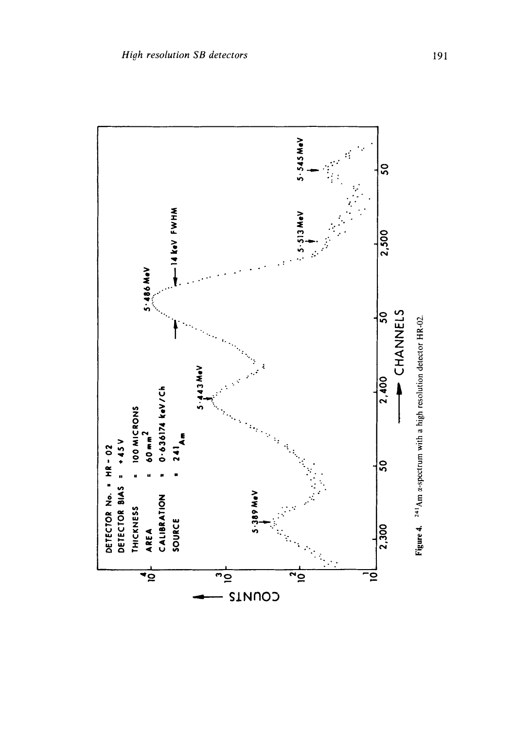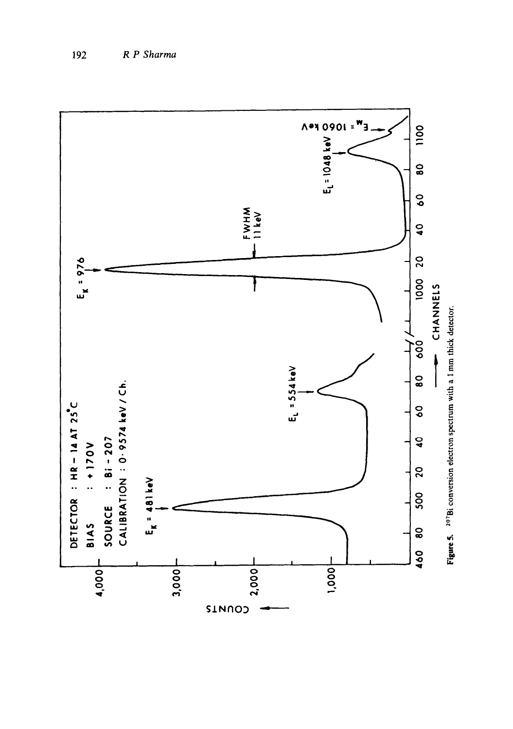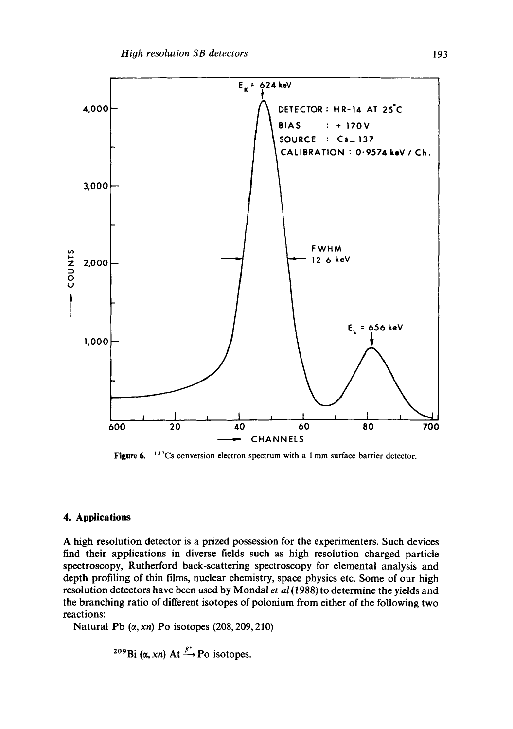

**Figure 6.** <sup>137</sup>Cs conversion electron spectrum with a 1 mm surface barrier detector.

### **4. Applications**

A high resolution detector is a prized possession for the experimenters. Such devices find their applications in diverse fields such as high resolution charged particle spectroscopy, Rutherford back-scattering spectroscopy for elemental analysis and depth profiling of thin films, nuclear chemistry, space physics etc. Some of our high resolution detectors have been used by Mondal *et al* (1988) to determine the yields and the branching ratio of different isotopes of polonium from either of the following two reactions:

Natural Pb  $(\alpha, xn)$  Po isotopes  $(208, 209, 210)$ 

<sup>209</sup>Bi 
$$
(\alpha, xn)
$$
 At  $\xrightarrow{\beta^*}$  Po isotopes.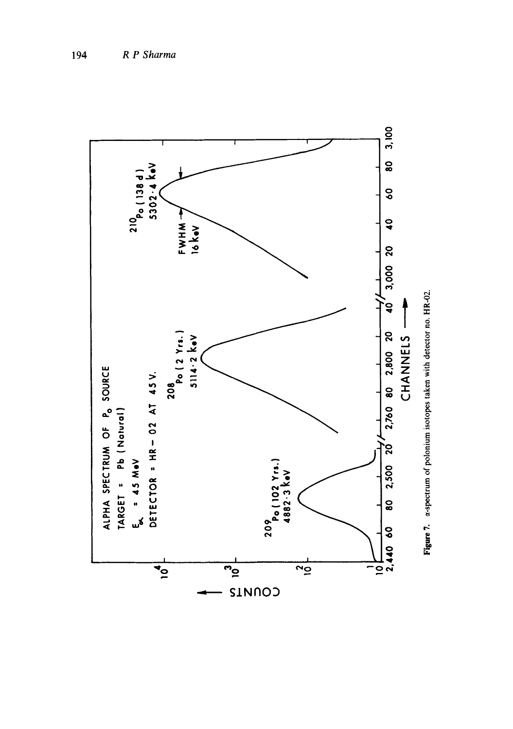